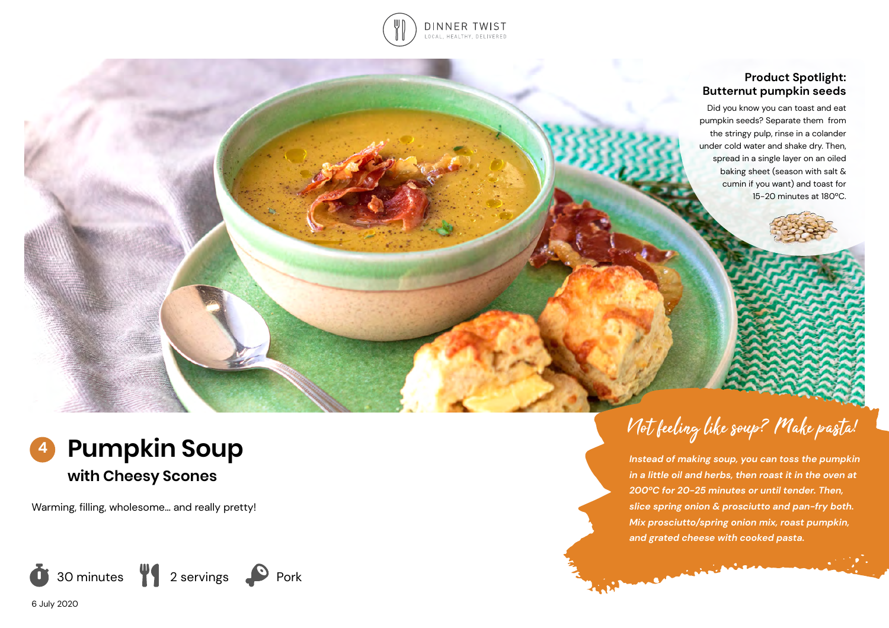

## **Product Spotlight: Butternut pumpkin seeds**

Did you know you can toast and eat pumpkin seeds? Separate them from the stringy pulp, rinse in a colander under cold water and shake dry. Then, spread in a single layer on an oiled baking sheet (season with salt & cumin if you want) and toast for 15-20 minutes at 180ºC.

Not feeling like soup? Make pasta!

*Instead of making soup, you can toss the pumpkin in a little oil and herbs, then roast it in the oven at 200ºC for 20-25 minutes or until tender. Then, slice spring onion & prosciutto and pan-fry both. Mix prosciutto/spring onion mix, roast pumpkin,* 

*and grated cheese with cooked pasta.* 

**Committee** 



Warming, filling, wholesome… and really pretty!



6 July 2020